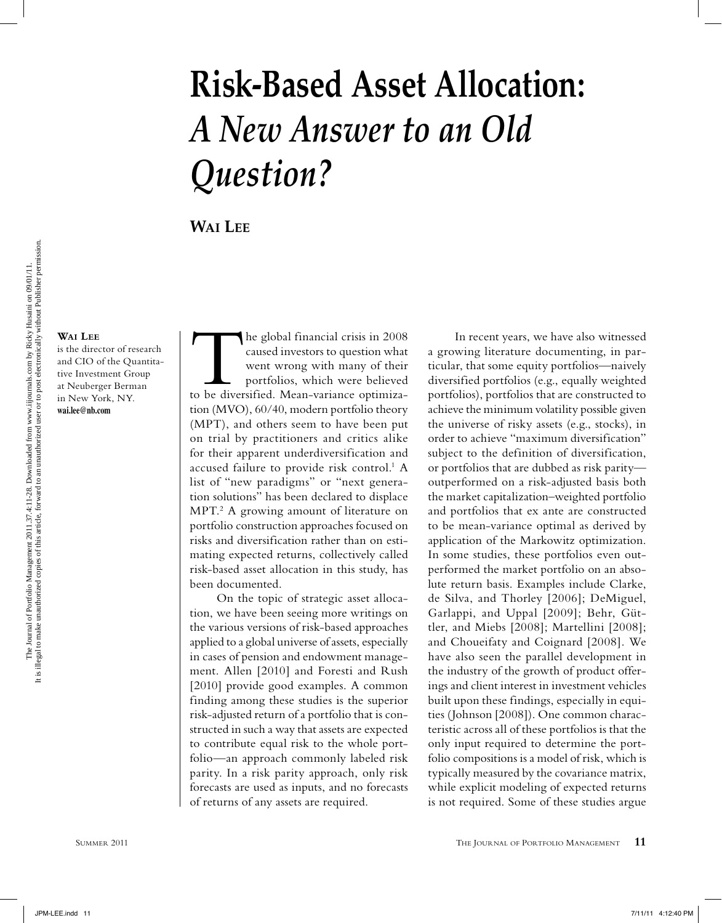# **Risk-Based Asset Allocation:**  *A New Answer to an Old Question?*

**WAI LEE**

#### **WAI LEE**

is the director of research and CIO of the Quantitative Investment Group at Neuberger Berman in New York, NY. **wai.lee@nb.com**

The global financial crisis in 2008<br>
caused investors to question what<br>
went wrong with many of their<br>
portfolios, which were believed<br>
to be diversified. Mean-variance optimizacaused investors to question what went wrong with many of their portfolios, which were believed tion (MVO), 60/40, modern portfolio theory (MPT), and others seem to have been put on trial by practitioners and critics alike for their apparent underdiversification and accused failure to provide risk control.<sup>1</sup> A list of "new paradigms" or "next generation solutions" has been declared to displace MPT.2 A growing amount of literature on portfolio construction approaches focused on risks and diversification rather than on estimating expected returns, collectively called risk-based asset allocation in this study, has been documented.

On the topic of strategic asset allocation, we have been seeing more writings on the various versions of risk-based approaches applied to a global universe of assets, especially in cases of pension and endowment management. Allen [2010] and Foresti and Rush [2010] provide good examples. A common finding among these studies is the superior risk-adjusted return of a portfolio that is constructed in such a way that assets are expected to contribute equal risk to the whole portfolio—an approach commonly labeled risk parity. In a risk parity approach, only risk forecasts are used as inputs, and no forecasts of returns of any assets are required.

In recent years, we have also witnessed a growing literature documenting, in particular, that some equity portfolios—naively diversified portfolios (e.g., equally weighted portfolios), portfolios that are constructed to achieve the minimum volatility possible given the universe of risky assets (e.g., stocks), in order to achieve "maximum diversification" subject to the definition of diversification, or portfolios that are dubbed as risk parity outperformed on a risk-adjusted basis both the market capitalization–weighted portfolio and portfolios that ex ante are constructed to be mean-variance optimal as derived by application of the Markowitz optimization. In some studies, these portfolios even outperformed the market portfolio on an absolute return basis. Examples include Clarke, de Silva, and Thorley [2006]; DeMiguel, Garlappi, and Uppal [2009]; Behr, Güttler, and Miebs [2008]; Martellini [2008]; and Choueifaty and Coignard [2008]. We have also seen the parallel development in the industry of the growth of product offerings and client interest in investment vehicles built upon these findings, especially in equities (Johnson [2008]). One common characteristic across all of these portfolios is that the only input required to determine the portfolio compositions is a model of risk, which is typically measured by the covariance matrix, while explicit modeling of expected returns is not required. Some of these studies argue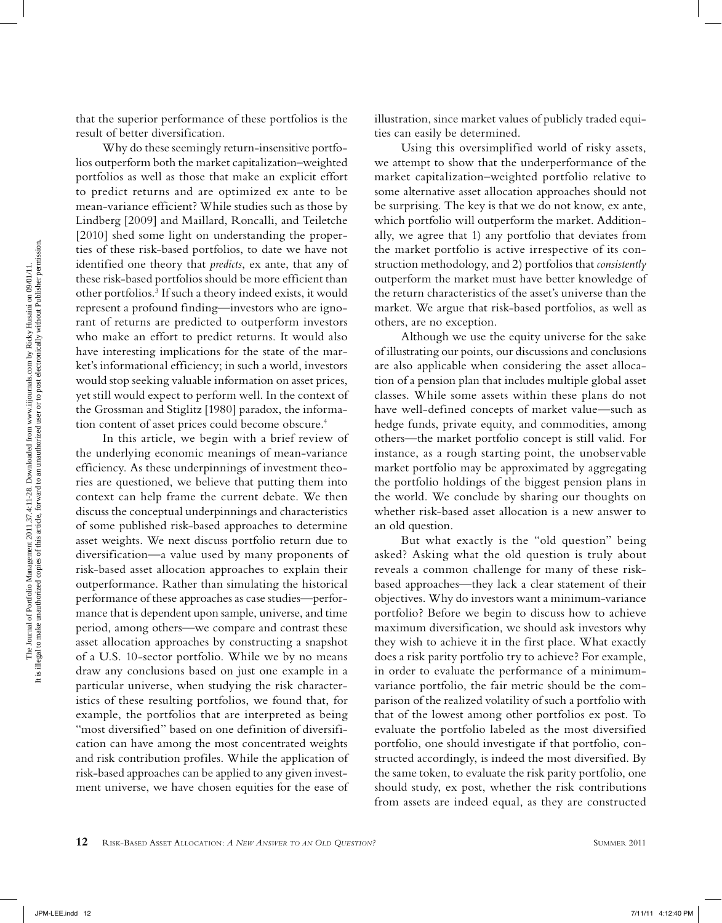that the superior performance of these portfolios is the result of better diversification.

Why do these seemingly return-insensitive portfolios outperform both the market capitalization–weighted portfolios as well as those that make an explicit effort to predict returns and are optimized ex ante to be mean-variance efficient? While studies such as those by Lindberg [2009] and Maillard, Roncalli, and Teiletche [2010] shed some light on understanding the properties of these risk-based portfolios, to date we have not identified one theory that *predicts*, ex ante, that any of these risk-based portfolios should be more efficient than other portfolios.3 If such a theory indeed exists, it would represent a profound finding—investors who are ignorant of returns are predicted to outperform investors who make an effort to predict returns. It would also have interesting implications for the state of the market's informational efficiency; in such a world, investors would stop seeking valuable information on asset prices, yet still would expect to perform well. In the context of the Grossman and Stiglitz [1980] paradox, the information content of asset prices could become obscure.4

In this article, we begin with a brief review of the underlying economic meanings of mean-variance efficiency. As these underpinnings of investment theories are questioned, we believe that putting them into context can help frame the current debate. We then discuss the conceptual underpinnings and characteristics of some published risk-based approaches to determine asset weights. We next discuss portfolio return due to diversification—a value used by many proponents of risk-based asset allocation approaches to explain their outperformance. Rather than simulating the historical performance of these approaches as case studies—performance that is dependent upon sample, universe, and time period, among others—we compare and contrast these asset allocation approaches by constructing a snapshot of a U.S. 10-sector portfolio. While we by no means draw any conclusions based on just one example in a particular universe, when studying the risk characteristics of these resulting portfolios, we found that, for example, the portfolios that are interpreted as being "most diversified" based on one definition of diversification can have among the most concentrated weights and risk contribution profiles. While the application of risk-based approaches can be applied to any given investment universe, we have chosen equities for the ease of illustration, since market values of publicly traded equities can easily be determined.

Using this oversimplified world of risky assets, we attempt to show that the underperformance of the market capitalization–weighted portfolio relative to some alternative asset allocation approaches should not be surprising. The key is that we do not know, ex ante, which portfolio will outperform the market. Additionally, we agree that 1) any portfolio that deviates from the market portfolio is active irrespective of its construction methodology, and 2) portfolios that *consistently* outperform the market must have better knowledge of the return characteristics of the asset's universe than the market. We argue that risk-based portfolios, as well as others, are no exception.

Although we use the equity universe for the sake of illustrating our points, our discussions and conclusions are also applicable when considering the asset allocation of a pension plan that includes multiple global asset classes. While some assets within these plans do not have well-defined concepts of market value—such as hedge funds, private equity, and commodities, among others—the market portfolio concept is still valid. For instance, as a rough starting point, the unobservable market portfolio may be approximated by aggregating the portfolio holdings of the biggest pension plans in the world. We conclude by sharing our thoughts on whether risk-based asset allocation is a new answer to an old question.

But what exactly is the "old question" being asked? Asking what the old question is truly about reveals a common challenge for many of these riskbased approaches—they lack a clear statement of their objectives. Why do investors want a minimum-variance portfolio? Before we begin to discuss how to achieve maximum diversification, we should ask investors why they wish to achieve it in the first place. What exactly does a risk parity portfolio try to achieve? For example, in order to evaluate the performance of a minimumvariance portfolio, the fair metric should be the comparison of the realized volatility of such a portfolio with that of the lowest among other portfolios ex post. To evaluate the portfolio labeled as the most diversified portfolio, one should investigate if that portfolio, constructed accordingly, is indeed the most diversified. By the same token, to evaluate the risk parity portfolio, one should study, ex post, whether the risk contributions from assets are indeed equal, as they are constructed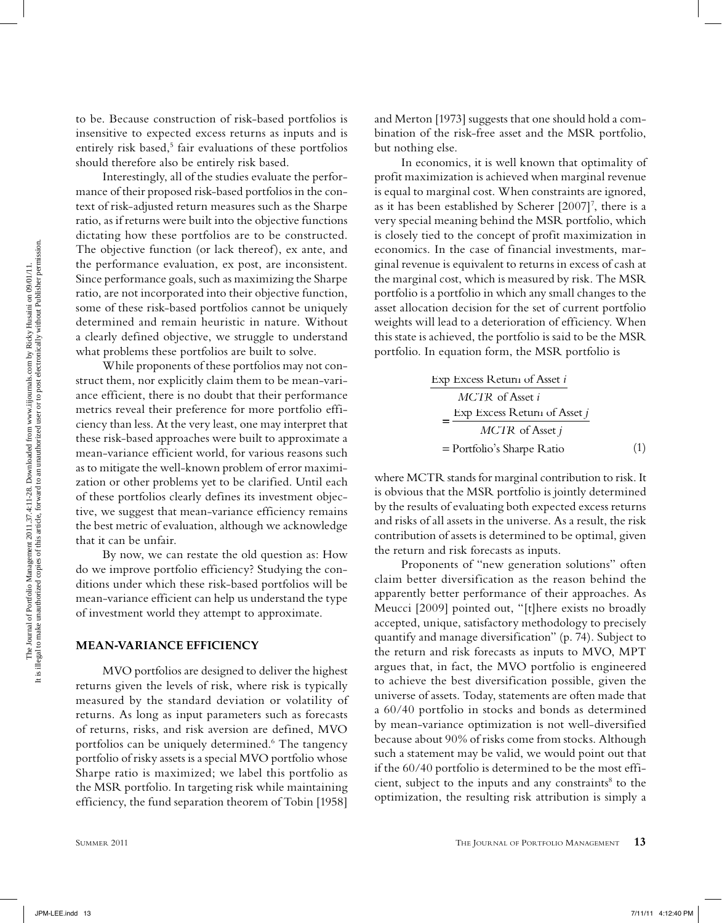to be. Because construction of risk-based portfolios is insensitive to expected excess returns as inputs and is entirely risk based,<sup>5</sup> fair evaluations of these portfolios should therefore also be entirely risk based.

Interestingly, all of the studies evaluate the performance of their proposed risk-based portfolios in the context of risk-adjusted return measures such as the Sharpe ratio, as if returns were built into the objective functions dictating how these portfolios are to be constructed. The objective function (or lack thereof), ex ante, and the performance evaluation, ex post, are inconsistent. Since performance goals, such as maximizing the Sharpe ratio, are not incorporated into their objective function, some of these risk-based portfolios cannot be uniquely determined and remain heuristic in nature. Without a clearly defined objective, we struggle to understand what problems these portfolios are built to solve.

While proponents of these portfolios may not construct them, nor explicitly claim them to be mean-variance efficient, there is no doubt that their performance metrics reveal their preference for more portfolio efficiency than less. At the very least, one may interpret that these risk-based approaches were built to approximate a mean-variance efficient world, for various reasons such as to mitigate the well-known problem of error maximization or other problems yet to be clarified. Until each of these portfolios clearly defines its investment objective, we suggest that mean-variance efficiency remains the best metric of evaluation, although we acknowledge that it can be unfair.

By now, we can restate the old question as: How do we improve portfolio efficiency? Studying the conditions under which these risk-based portfolios will be mean-variance efficient can help us understand the type of investment world they attempt to approximate.

#### **MEAN-VARIANCE EFFICIENCY**

MVO portfolios are designed to deliver the highest returns given the levels of risk, where risk is typically measured by the standard deviation or volatility of returns. As long as input parameters such as forecasts of returns, risks, and risk aversion are defined, MVO portfolios can be uniquely determined.<sup>6</sup> The tangency portfolio of risky assets is a special MVO portfolio whose Sharpe ratio is maximized; we label this portfolio as the MSR portfolio. In targeting risk while maintaining efficiency, the fund separation theorem of Tobin [1958]

and Merton [1973] suggests that one should hold a combination of the risk-free asset and the MSR portfolio, but nothing else.

In economics, it is well known that optimality of profit maximization is achieved when marginal revenue is equal to marginal cost. When constraints are ignored, as it has been established by Scherer  $[2007]^7$ , there is a very special meaning behind the MSR portfolio, which is closely tied to the concept of profit maximization in economics. In the case of financial investments, marginal revenue is equivalent to returns in excess of cash at the marginal cost, which is measured by risk. The MSR portfolio is a portfolio in which any small changes to the asset allocation decision for the set of current portfolio weights will lead to a deterioration of efficiency. When this state is achieved, the portfolio is said to be the MSR portfolio. In equation form, the MSR portfolio is

Exp Excess Return of Asset *i*  
\n
$$
MCTR \text{ of Asset } i
$$
\n
$$
= \frac{Exp Excess Return \text{ of Asset } j}{MCTR \text{ of Asset } j}
$$
\n
$$
= \text{Portfolio's Sharpe Ratio} \tag{1}
$$

where MCTR stands for marginal contribution to risk. It is obvious that the MSR portfolio is jointly determined by the results of evaluating both expected excess returns and risks of all assets in the universe. As a result, the risk contribution of assets is determined to be optimal, given the return and risk forecasts as inputs.

Proponents of "new generation solutions" often claim better diversification as the reason behind the apparently better performance of their approaches. As Meucci [2009] pointed out, "[t]here exists no broadly accepted, unique, satisfactory methodology to precisely quantify and manage diversification" (p. 74). Subject to the return and risk forecasts as inputs to MVO, MPT argues that, in fact, the MVO portfolio is engineered to achieve the best diversification possible, given the universe of assets. Today, statements are often made that a 60/40 portfolio in stocks and bonds as determined by mean-variance optimization is not well-diversified because about 90% of risks come from stocks. Although such a statement may be valid, we would point out that if the 60/40 portfolio is determined to be the most efficient, subject to the inputs and any constraints<sup>8</sup> to the optimization, the resulting risk attribution is simply a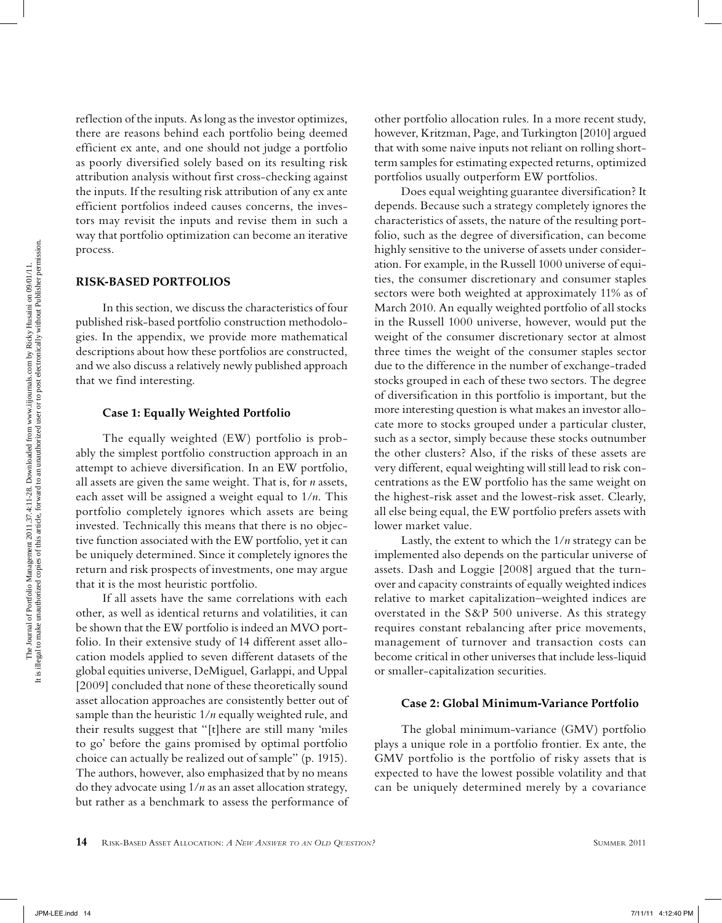reflection of the inputs. As long as the investor optimizes, there are reasons behind each portfolio being deemed efficient ex ante, and one should not judge a portfolio as poorly diversified solely based on its resulting risk attribution analysis without first cross-checking against the inputs. If the resulting risk attribution of any ex ante efficient portfolios indeed causes concerns, the investors may revisit the inputs and revise them in such a way that portfolio optimization can become an iterative process.

#### **RISK-BASED PORTFOLIOS**

In this section, we discuss the characteristics of four published risk-based portfolio construction methodologies. In the appendix, we provide more mathematical descriptions about how these portfolios are constructed, and we also discuss a relatively newly published approach that we find interesting.

#### **Case 1: Equally Weighted Portfolio**

The equally weighted (EW) portfolio is probably the simplest portfolio construction approach in an attempt to achieve diversification. In an EW portfolio, all assets are given the same weight. That is, for *n* assets, each asset will be assigned a weight equal to 1/*n*. This portfolio completely ignores which assets are being invested. Technically this means that there is no objective function associated with the EW portfolio, yet it can be uniquely determined. Since it completely ignores the return and risk prospects of investments, one may argue that it is the most heuristic portfolio.

If all assets have the same correlations with each other, as well as identical returns and volatilities, it can be shown that the EW portfolio is indeed an MVO portfolio. In their extensive study of 14 different asset allocation models applied to seven different datasets of the global equities universe, DeMiguel, Garlappi, and Uppal [2009] concluded that none of these theoretically sound asset allocation approaches are consistently better out of sample than the heuristic 1/*n* equally weighted rule, and their results suggest that "[t]here are still many 'miles to go' before the gains promised by optimal portfolio choice can actually be realized out of sample" (p. 1915). The authors, however, also emphasized that by no means do they advocate using 1/*n* as an asset allocation strategy, but rather as a benchmark to assess the performance of other portfolio allocation rules. In a more recent study, however, Kritzman, Page, and Turkington [2010] argued that with some naive inputs not reliant on rolling shortterm samples for estimating expected returns, optimized portfolios usually outperform EW portfolios.

Does equal weighting guarantee diversification? It depends. Because such a strategy completely ignores the characteristics of assets, the nature of the resulting portfolio, such as the degree of diversification, can become highly sensitive to the universe of assets under consideration. For example, in the Russell 1000 universe of equities, the consumer discretionary and consumer staples sectors were both weighted at approximately 11% as of March 2010. An equally weighted portfolio of all stocks in the Russell 1000 universe, however, would put the weight of the consumer discretionary sector at almost three times the weight of the consumer staples sector due to the difference in the number of exchange-traded stocks grouped in each of these two sectors. The degree of diversification in this portfolio is important, but the more interesting question is what makes an investor allocate more to stocks grouped under a particular cluster, such as a sector, simply because these stocks outnumber the other clusters? Also, if the risks of these assets are very different, equal weighting will still lead to risk concentrations as the EW portfolio has the same weight on the highest-risk asset and the lowest-risk asset. Clearly, all else being equal, the EW portfolio prefers assets with lower market value.

Lastly, the extent to which the 1/*n* strategy can be implemented also depends on the particular universe of assets. Dash and Loggie [2008] argued that the turnover and capacity constraints of equally weighted indices relative to market capitalization–weighted indices are overstated in the S&P 500 universe. As this strategy requires constant rebalancing after price movements, management of turnover and transaction costs can become critical in other universes that include less-liquid or smaller-capitalization securities.

#### **Case 2: Global Minimum-Variance Portfolio**

The global minimum-variance (GMV) portfolio plays a unique role in a portfolio frontier. Ex ante, the GMV portfolio is the portfolio of risky assets that is expected to have the lowest possible volatility and that can be uniquely determined merely by a covariance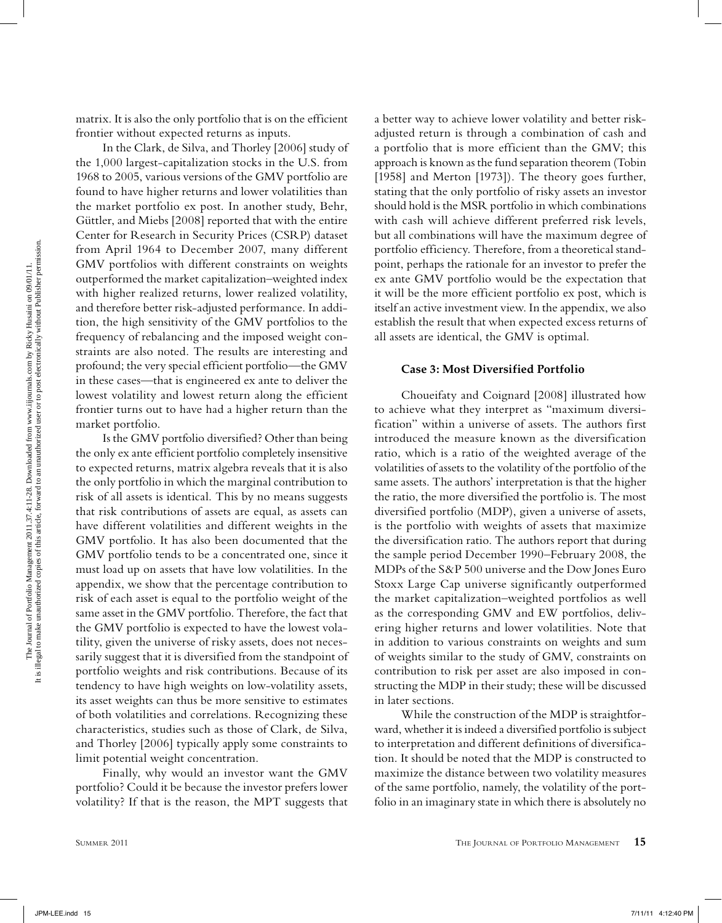matrix. It is also the only portfolio that is on the efficient frontier without expected returns as inputs.

In the Clark, de Silva, and Thorley [2006] study of the 1,000 largest-capitalization stocks in the U.S. from 1968 to 2005, various versions of the GMV portfolio are found to have higher returns and lower volatilities than the market portfolio ex post. In another study, Behr, Güttler, and Miebs [2008] reported that with the entire Center for Research in Security Prices (CSRP) dataset from April 1964 to December 2007, many different GMV portfolios with different constraints on weights outperformed the market capitalization–weighted index with higher realized returns, lower realized volatility, and therefore better risk-adjusted performance. In addition, the high sensitivity of the GMV portfolios to the frequency of rebalancing and the imposed weight constraints are also noted. The results are interesting and profound; the very special efficient portfolio—the GMV in these cases—that is engineered ex ante to deliver the lowest volatility and lowest return along the efficient frontier turns out to have had a higher return than the market portfolio.

Is the GMV portfolio diversified? Other than being the only ex ante efficient portfolio completely insensitive to expected returns, matrix algebra reveals that it is also the only portfolio in which the marginal contribution to risk of all assets is identical. This by no means suggests that risk contributions of assets are equal, as assets can have different volatilities and different weights in the GMV portfolio. It has also been documented that the GMV portfolio tends to be a concentrated one, since it must load up on assets that have low volatilities. In the appendix, we show that the percentage contribution to risk of each asset is equal to the portfolio weight of the same asset in the GMV portfolio. Therefore, the fact that the GMV portfolio is expected to have the lowest volatility, given the universe of risky assets, does not necessarily suggest that it is diversified from the standpoint of portfolio weights and risk contributions. Because of its tendency to have high weights on low-volatility assets, its asset weights can thus be more sensitive to estimates of both volatilities and correlations. Recognizing these characteristics, studies such as those of Clark, de Silva, and Thorley [2006] typically apply some constraints to limit potential weight concentration.

Finally, why would an investor want the GMV portfolio? Could it be because the investor prefers lower volatility? If that is the reason, the MPT suggests that a better way to achieve lower volatility and better riskadjusted return is through a combination of cash and a portfolio that is more efficient than the GMV; this approach is known as the fund separation theorem (Tobin [1958] and Merton [1973]). The theory goes further, stating that the only portfolio of risky assets an investor should hold is the MSR portfolio in which combinations with cash will achieve different preferred risk levels, but all combinations will have the maximum degree of portfolio efficiency. Therefore, from a theoretical standpoint, perhaps the rationale for an investor to prefer the ex ante GMV portfolio would be the expectation that it will be the more efficient portfolio ex post, which is itself an active investment view. In the appendix, we also establish the result that when expected excess returns of all assets are identical, the GMV is optimal.

#### **Case 3: Most Diversified Portfolio**

Choueifaty and Coignard [2008] illustrated how to achieve what they interpret as "maximum diversification" within a universe of assets. The authors first introduced the measure known as the diversification ratio, which is a ratio of the weighted average of the volatilities of assets to the volatility of the portfolio of the same assets. The authors' interpretation is that the higher the ratio, the more diversified the portfolio is. The most diversified portfolio (MDP), given a universe of assets, is the portfolio with weights of assets that maximize the diversification ratio. The authors report that during the sample period December 1990–February 2008, the MDPs of the S&P 500 universe and the Dow Jones Euro Stoxx Large Cap universe significantly outperformed the market capitalization–weighted portfolios as well as the corresponding GMV and EW portfolios, delivering higher returns and lower volatilities. Note that in addition to various constraints on weights and sum of weights similar to the study of GMV, constraints on contribution to risk per asset are also imposed in constructing the MDP in their study; these will be discussed in later sections.

While the construction of the MDP is straightforward, whether it is indeed a diversified portfolio is subject to interpretation and different definitions of diversification. It should be noted that the MDP is constructed to maximize the distance between two volatility measures of the same portfolio, namely, the volatility of the portfolio in an imaginary state in which there is absolutely no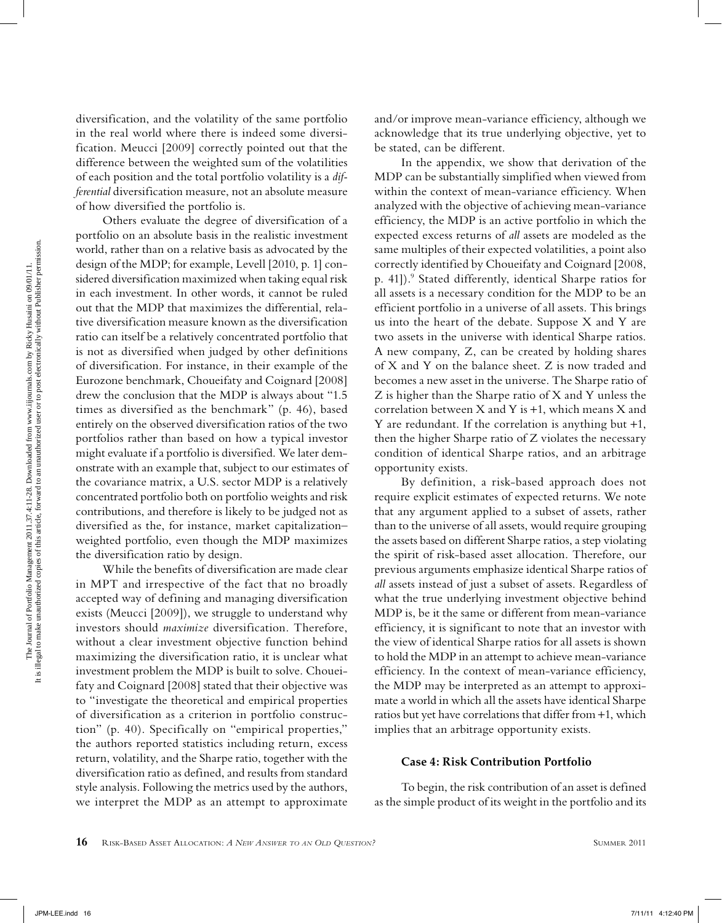diversification, and the volatility of the same portfolio in the real world where there is indeed some diversification. Meucci [2009] correctly pointed out that the difference between the weighted sum of the volatilities of each position and the total portfolio volatility is a *differential* diversification measure, not an absolute measure of how diversified the portfolio is.

Others evaluate the degree of diversification of a portfolio on an absolute basis in the realistic investment world, rather than on a relative basis as advocated by the design of the MDP; for example, Levell [2010, p. 1] considered diversification maximized when taking equal risk in each investment. In other words, it cannot be ruled out that the MDP that maximizes the differential, relative diversification measure known as the diversification ratio can itself be a relatively concentrated portfolio that is not as diversified when judged by other definitions of diversification. For instance, in their example of the Eurozone benchmark, Choueifaty and Coignard [2008] drew the conclusion that the MDP is always about "1.5 times as diversified as the benchmark" (p. 46), based entirely on the observed diversification ratios of the two portfolios rather than based on how a typical investor might evaluate if a portfolio is diversified. We later demonstrate with an example that, subject to our estimates of the covariance matrix, a U.S. sector MDP is a relatively concentrated portfolio both on portfolio weights and risk contributions, and therefore is likely to be judged not as diversified as the, for instance, market capitalization– weighted portfolio, even though the MDP maximizes the diversification ratio by design.

While the benefits of diversification are made clear in MPT and irrespective of the fact that no broadly accepted way of defining and managing diversification exists (Meucci [2009]), we struggle to understand why investors should *maximize* diversification. Therefore, without a clear investment objective function behind maximizing the diversification ratio, it is unclear what investment problem the MDP is built to solve. Choueifaty and Coignard [2008] stated that their objective was to "investigate the theoretical and empirical properties of diversification as a criterion in portfolio construction" (p. 40). Specifically on "empirical properties," the authors reported statistics including return, excess return, volatility, and the Sharpe ratio, together with the diversification ratio as defined, and results from standard style analysis. Following the metrics used by the authors, we interpret the MDP as an attempt to approximate and/or improve mean-variance efficiency, although we acknowledge that its true underlying objective, yet to be stated, can be different.

In the appendix, we show that derivation of the MDP can be substantially simplified when viewed from within the context of mean-variance efficiency. When analyzed with the objective of achieving mean-variance efficiency, the MDP is an active portfolio in which the expected excess returns of *all* assets are modeled as the same multiples of their expected volatilities, a point also correctly identified by Choueifaty and Coignard [2008, p. 41]).9 Stated differently, identical Sharpe ratios for all assets is a necessary condition for the MDP to be an efficient portfolio in a universe of all assets. This brings us into the heart of the debate. Suppose X and Y are two assets in the universe with identical Sharpe ratios. A new company, Z, can be created by holding shares of X and Y on the balance sheet. Z is now traded and becomes a new asset in the universe. The Sharpe ratio of Z is higher than the Sharpe ratio of X and Y unless the correlation between X and Y is +1, which means X and Y are redundant. If the correlation is anything but +1, then the higher Sharpe ratio of Z violates the necessary condition of identical Sharpe ratios, and an arbitrage opportunity exists.

By definition, a risk-based approach does not require explicit estimates of expected returns. We note that any argument applied to a subset of assets, rather than to the universe of all assets, would require grouping the assets based on different Sharpe ratios, a step violating the spirit of risk-based asset allocation. Therefore, our previous arguments emphasize identical Sharpe ratios of *all* assets instead of just a subset of assets. Regardless of what the true underlying investment objective behind MDP is, be it the same or different from mean-variance efficiency, it is significant to note that an investor with the view of identical Sharpe ratios for all assets is shown to hold the MDP in an attempt to achieve mean-variance efficiency. In the context of mean-variance efficiency, the MDP may be interpreted as an attempt to approximate a world in which all the assets have identical Sharpe ratios but yet have correlations that differ from +1, which implies that an arbitrage opportunity exists.

#### **Case 4: Risk Contribution Portfolio**

To begin, the risk contribution of an asset is defined as the simple product of its weight in the portfolio and its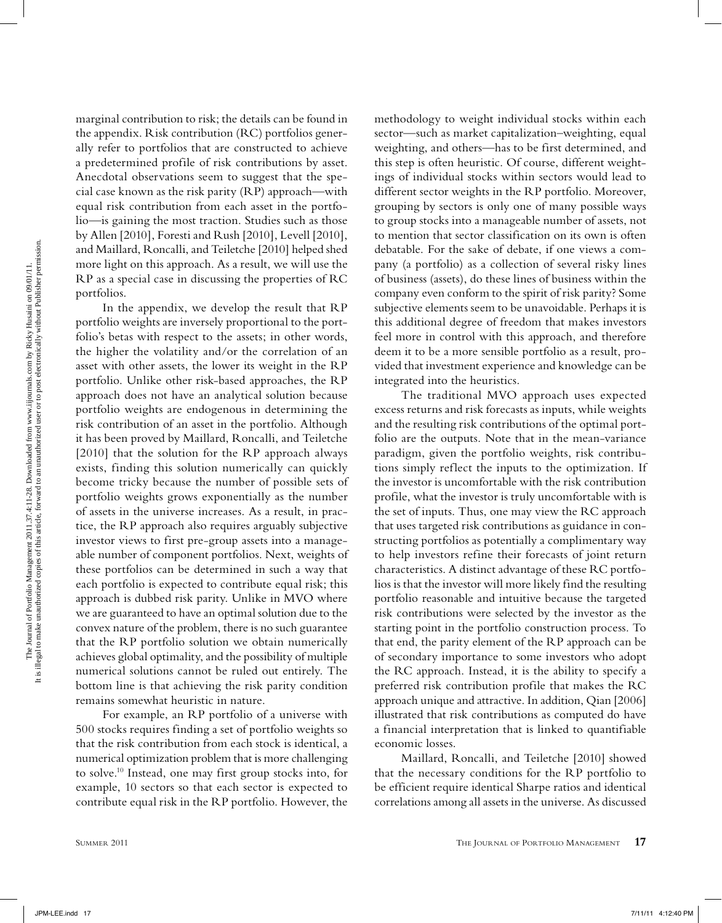marginal contribution to risk; the details can be found in the appendix. Risk contribution (RC) portfolios generally refer to portfolios that are constructed to achieve a predetermined profile of risk contributions by asset. Anecdotal observations seem to suggest that the special case known as the risk parity (RP) approach—with equal risk contribution from each asset in the portfolio—is gaining the most traction. Studies such as those by Allen [2010], Foresti and Rush [2010], Levell [2010], and Maillard, Roncalli, and Teiletche [2010] helped shed more light on this approach. As a result, we will use the RP as a special case in discussing the properties of RC portfolios.

In the appendix, we develop the result that RP portfolio weights are inversely proportional to the portfolio's betas with respect to the assets; in other words, the higher the volatility and/or the correlation of an asset with other assets, the lower its weight in the RP portfolio. Unlike other risk-based approaches, the RP approach does not have an analytical solution because portfolio weights are endogenous in determining the risk contribution of an asset in the portfolio. Although it has been proved by Maillard, Roncalli, and Teiletche [2010] that the solution for the RP approach always exists, finding this solution numerically can quickly become tricky because the number of possible sets of portfolio weights grows exponentially as the number of assets in the universe increases. As a result, in practice, the RP approach also requires arguably subjective investor views to first pre-group assets into a manageable number of component portfolios. Next, weights of these portfolios can be determined in such a way that each portfolio is expected to contribute equal risk; this approach is dubbed risk parity. Unlike in MVO where we are guaranteed to have an optimal solution due to the convex nature of the problem, there is no such guarantee that the RP portfolio solution we obtain numerically achieves global optimality, and the possibility of multiple numerical solutions cannot be ruled out entirely. The bottom line is that achieving the risk parity condition remains somewhat heuristic in nature.

For example, an RP portfolio of a universe with 500 stocks requires finding a set of portfolio weights so that the risk contribution from each stock is identical, a numerical optimization problem that is more challenging to solve.10 Instead, one may first group stocks into, for example, 10 sectors so that each sector is expected to contribute equal risk in the RP portfolio. However, the methodology to weight individual stocks within each sector—such as market capitalization–weighting, equal weighting, and others—has to be first determined, and this step is often heuristic. Of course, different weightings of individual stocks within sectors would lead to different sector weights in the RP portfolio. Moreover, grouping by sectors is only one of many possible ways to group stocks into a manageable number of assets, not to mention that sector classification on its own is often debatable. For the sake of debate, if one views a company (a portfolio) as a collection of several risky lines of business (assets), do these lines of business within the company even conform to the spirit of risk parity? Some subjective elements seem to be unavoidable. Perhaps it is this additional degree of freedom that makes investors feel more in control with this approach, and therefore deem it to be a more sensible portfolio as a result, provided that investment experience and knowledge can be integrated into the heuristics.

The traditional MVO approach uses expected excess returns and risk forecasts as inputs, while weights and the resulting risk contributions of the optimal portfolio are the outputs. Note that in the mean-variance paradigm, given the portfolio weights, risk contributions simply reflect the inputs to the optimization. If the investor is uncomfortable with the risk contribution profile, what the investor is truly uncomfortable with is the set of inputs. Thus, one may view the RC approach that uses targeted risk contributions as guidance in constructing portfolios as potentially a complimentary way to help investors refine their forecasts of joint return characteristics. A distinct advantage of these RC portfolios is that the investor will more likely find the resulting portfolio reasonable and intuitive because the targeted risk contributions were selected by the investor as the starting point in the portfolio construction process. To that end, the parity element of the RP approach can be of secondary importance to some investors who adopt the RC approach. Instead, it is the ability to specify a preferred risk contribution profile that makes the RC approach unique and attractive. In addition, Qian [2006] illustrated that risk contributions as computed do have a financial interpretation that is linked to quantifiable economic losses.

Maillard, Roncalli, and Teiletche [2010] showed that the necessary conditions for the RP portfolio to be efficient require identical Sharpe ratios and identical correlations among all assets in the universe. As discussed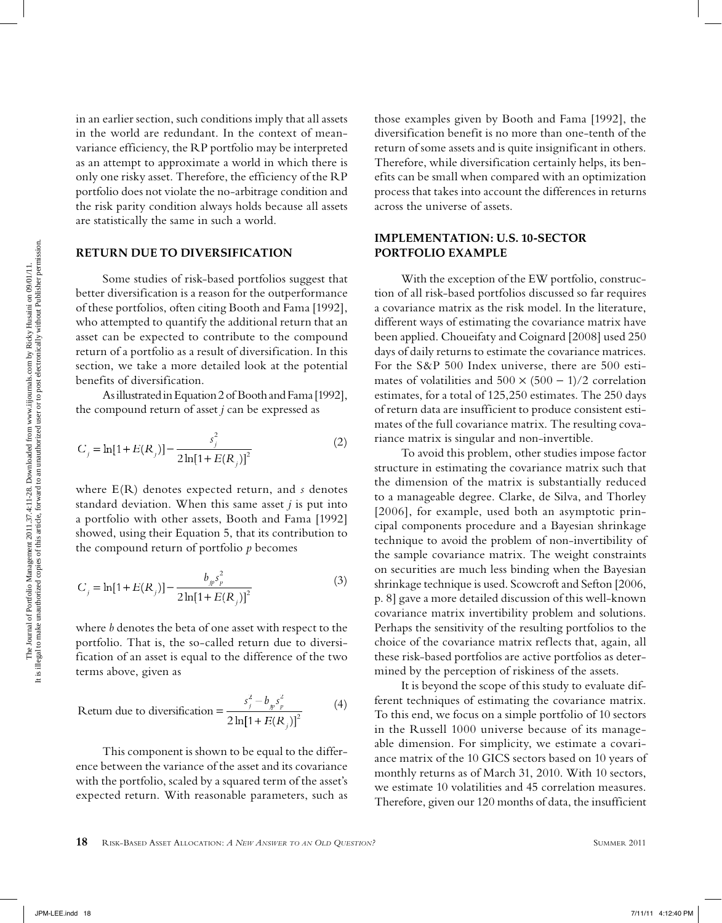in an earlier section, such conditions imply that all assets in the world are redundant. In the context of meanvariance efficiency, the RP portfolio may be interpreted as an attempt to approximate a world in which there is only one risky asset. Therefore, the efficiency of the RP portfolio does not violate the no-arbitrage condition and the risk parity condition always holds because all assets are statistically the same in such a world.

#### **RETURN DUE TO DIVERSIFICATION**

Some studies of risk-based portfolios suggest that better diversification is a reason for the outperformance of these portfolios, often citing Booth and Fama [1992], who attempted to quantify the additional return that an asset can be expected to contribute to the compound return of a portfolio as a result of diversification. In this section, we take a more detailed look at the potential benefits of diversification.

As illustrated in Equation 2 of Booth and Fama [1992], the compound return of asset *j* can be expressed as

$$
C_j = \ln[1 + E(R_j)] - \frac{s_j^2}{2\ln[1 + E(R_j)]^2}
$$
 (2)

where E(R) denotes expected return, and *s* denotes standard deviation. When this same asset *j* is put into a portfolio with other assets, Booth and Fama [1992] showed, using their Equation 5, that its contribution to the compound return of portfolio *p* becomes

$$
C_{j} = \ln[1 + E(R_{j})] - \frac{b_{jp}s_{p}^{2}}{2\ln[1 + E(R_{j})]^{2}}
$$
\n(3)

where *b* denotes the beta of one asset with respect to the portfolio. That is, the so-called return due to diversification of an asset is equal to the difference of the two terms above, given as

Return due to diversification = 
$$
\frac{s_j^2 - b_{jp}s_p^2}{2\ln[1 + E(R_j)]^2}
$$
 (4)

This component is shown to be equal to the difference between the variance of the asset and its covariance with the portfolio, scaled by a squared term of the asset's expected return. With reasonable parameters, such as those examples given by Booth and Fama [1992], the diversification benefit is no more than one-tenth of the return of some assets and is quite insignificant in others. Therefore, while diversification certainly helps, its benefits can be small when compared with an optimization process that takes into account the differences in returns across the universe of assets.

# **IMPLEMENTATION: U.S. 10-SECTOR PORTFOLIO EXAMPLE**

With the exception of the EW portfolio, construction of all risk-based portfolios discussed so far requires a covariance matrix as the risk model. In the literature, different ways of estimating the covariance matrix have been applied. Choueifaty and Coignard [2008] used 250 days of daily returns to estimate the covariance matrices. For the S&P 500 Index universe, there are 500 estimates of volatilities and  $500 \times (500 - 1)/2$  correlation estimates, for a total of 125,250 estimates. The 250 days of return data are insufficient to produce consistent estimates of the full covariance matrix. The resulting covariance matrix is singular and non-invertible.

To avoid this problem, other studies impose factor structure in estimating the covariance matrix such that the dimension of the matrix is substantially reduced to a manageable degree. Clarke, de Silva, and Thorley [2006], for example, used both an asymptotic principal components procedure and a Bayesian shrinkage technique to avoid the problem of non-invertibility of the sample covariance matrix. The weight constraints on securities are much less binding when the Bayesian shrinkage technique is used. Scowcroft and Sefton [2006, p. 8] gave a more detailed discussion of this well-known covariance matrix invertibility problem and solutions. Perhaps the sensitivity of the resulting portfolios to the choice of the covariance matrix reflects that, again, all these risk-based portfolios are active portfolios as determined by the perception of riskiness of the assets.

It is beyond the scope of this study to evaluate different techniques of estimating the covariance matrix. To this end, we focus on a simple portfolio of 10 sectors in the Russell 1000 universe because of its manageable dimension. For simplicity, we estimate a covariance matrix of the 10 GICS sectors based on 10 years of monthly returns as of March 31, 2010. With 10 sectors, we estimate 10 volatilities and 45 correlation measures. Therefore, given our 120 months of data, the insufficient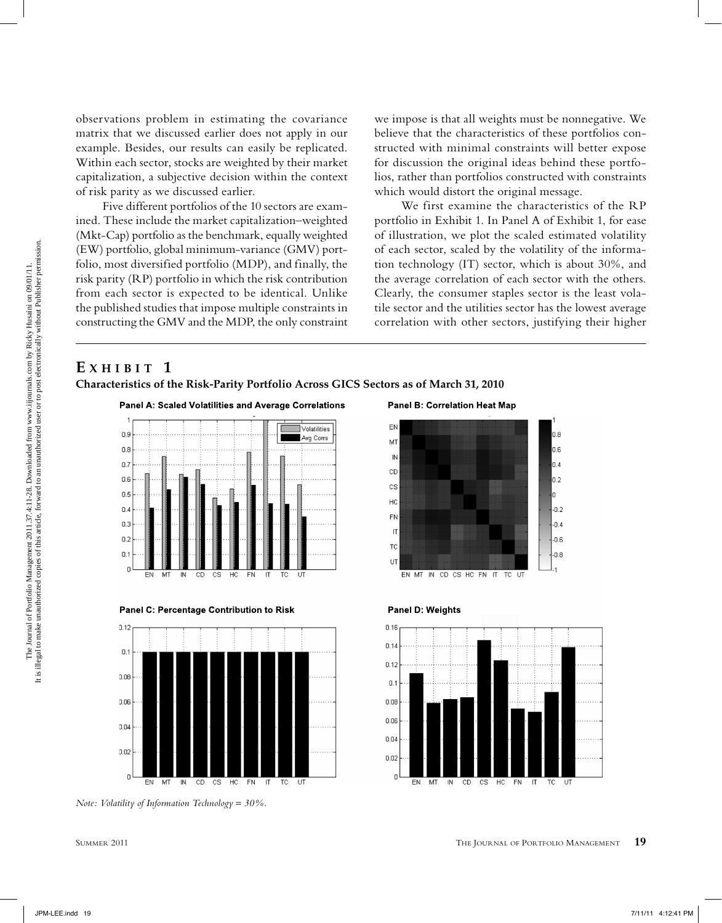observations problem in estimating the covariance matrix that we discussed earlier does not apply in our example. Besides, our results can easily be replicated. Within each sector, stocks are weighted by their market capitalization, a subjective decision within the context of risk parity as we discussed earlier.

Five different portfolios of the 10 sectors are examined. These include the market capitalization–weighted (Mkt-Cap) portfolio as the benchmark, equally weighted (EW) portfolio, global minimum-variance (GMV) portfolio, most diversified portfolio (MDP), and finally, the risk parity (RP) portfolio in which the risk contribution from each sector is expected to be identical. Unlike the published studies that impose multiple constraints in constructing the GMV and the MDP, the only constraint we impose is that all weights must be nonnegative. We believe that the characteristics of these portfolios constructed with minimal constraints will better expose for discussion the original ideas behind these portfolios, rather than portfolios constructed with constraints which would distort the original message.

We first examine the characteristics of the RP portfolio in Exhibit 1. In Panel A of Exhibit 1, for ease of illustration, we plot the scaled estimated volatility of each sector, scaled by the volatility of the information technology (IT) sector, which is about 30%, and the average correlation of each sector with the others. Clearly, the consumer staples sector is the least volatile sector and the utilities sector has the lowest average correlation with other sectors, justifying their higher

# **E XHIBIT 1**

**Characteristics of the Risk-Parity Portfolio Across GICS Sectors as of March 31, 2010**

Panel A: Scaled Volatilities and Average Correlations



**Panel C: Percentage Contribution to Risk** 



*Note: Volatility of Information Technology* = 30%.

**Panel B: Correlation Heat Map** 



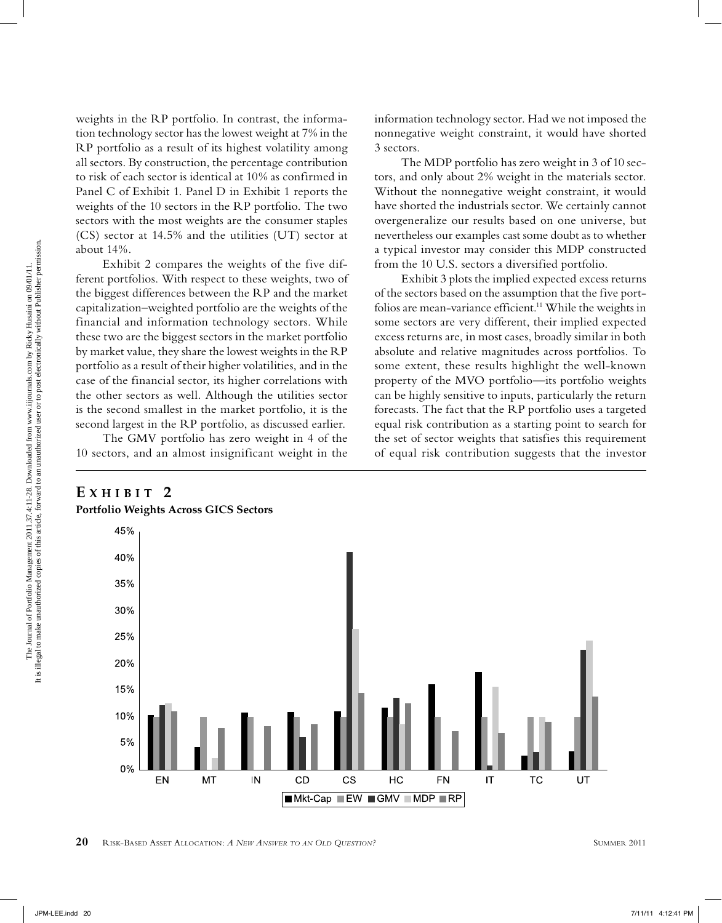weights in the RP portfolio. In contrast, the information technology sector has the lowest weight at 7% in the RP portfolio as a result of its highest volatility among all sectors. By construction, the percentage contribution to risk of each sector is identical at 10% as confirmed in Panel C of Exhibit 1. Panel D in Exhibit 1 reports the weights of the 10 sectors in the RP portfolio. The two sectors with the most weights are the consumer staples (CS) sector at 14.5% and the utilities (UT) sector at about 14%.

Exhibit 2 compares the weights of the five different portfolios. With respect to these weights, two of the biggest differences between the RP and the market capitalization–weighted portfolio are the weights of the financial and information technology sectors. While these two are the biggest sectors in the market portfolio by market value, they share the lowest weights in the RP portfolio as a result of their higher volatilities, and in the case of the financial sector, its higher correlations with the other sectors as well. Although the utilities sector is the second smallest in the market portfolio, it is the second largest in the RP portfolio, as discussed earlier.

The GMV portfolio has zero weight in 4 of the 10 sectors, and an almost insignificant weight in the information technology sector. Had we not imposed the nonnegative weight constraint, it would have shorted 3 sectors.

The MDP portfolio has zero weight in 3 of 10 sectors, and only about 2% weight in the materials sector. Without the nonnegative weight constraint, it would have shorted the industrials sector. We certainly cannot overgeneralize our results based on one universe, but nevertheless our examples cast some doubt as to whether a typical investor may consider this MDP constructed from the 10 U.S. sectors a diversified portfolio.

Exhibit 3 plots the implied expected excess returns of the sectors based on the assumption that the five portfolios are mean-variance efficient.<sup>11</sup> While the weights in some sectors are very different, their implied expected excess returns are, in most cases, broadly similar in both absolute and relative magnitudes across portfolios. To some extent, these results highlight the well-known property of the MVO portfolio—its portfolio weights can be highly sensitive to inputs, particularly the return forecasts. The fact that the RP portfolio uses a targeted equal risk contribution as a starting point to search for the set of sector weights that satisfies this requirement of equal risk contribution suggests that the investor



# **E XHIBIT 2**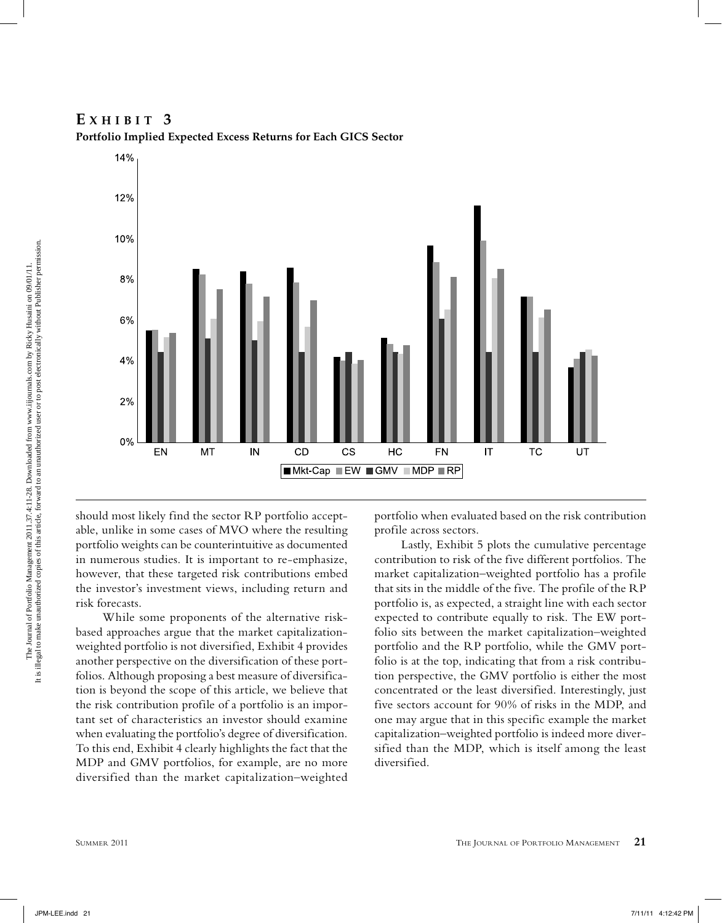**E XHIBIT 3 Portfolio Implied Expected Excess Returns for Each GICS Sector**



should most likely find the sector RP portfolio acceptable, unlike in some cases of MVO where the resulting portfolio weights can be counterintuitive as documented in numerous studies. It is important to re-emphasize, however, that these targeted risk contributions embed the investor's investment views, including return and risk forecasts.

While some proponents of the alternative riskbased approaches argue that the market capitalizationweighted portfolio is not diversified, Exhibit 4 provides another perspective on the diversification of these portfolios. Although proposing a best measure of diversification is beyond the scope of this article, we believe that the risk contribution profile of a portfolio is an important set of characteristics an investor should examine when evaluating the portfolio's degree of diversification. To this end, Exhibit 4 clearly highlights the fact that the MDP and GMV portfolios, for example, are no more diversified than the market capitalization–weighted portfolio when evaluated based on the risk contribution profile across sectors.

Lastly, Exhibit 5 plots the cumulative percentage contribution to risk of the five different portfolios. The market capitalization–weighted portfolio has a profile that sits in the middle of the five. The profile of the RP portfolio is, as expected, a straight line with each sector expected to contribute equally to risk. The EW portfolio sits between the market capitalization–weighted portfolio and the RP portfolio, while the GMV portfolio is at the top, indicating that from a risk contribution perspective, the GMV portfolio is either the most concentrated or the least diversified. Interestingly, just five sectors account for 90% of risks in the MDP, and one may argue that in this specific example the market capitalization–weighted portfolio is indeed more diversified than the MDP, which is itself among the least diversified.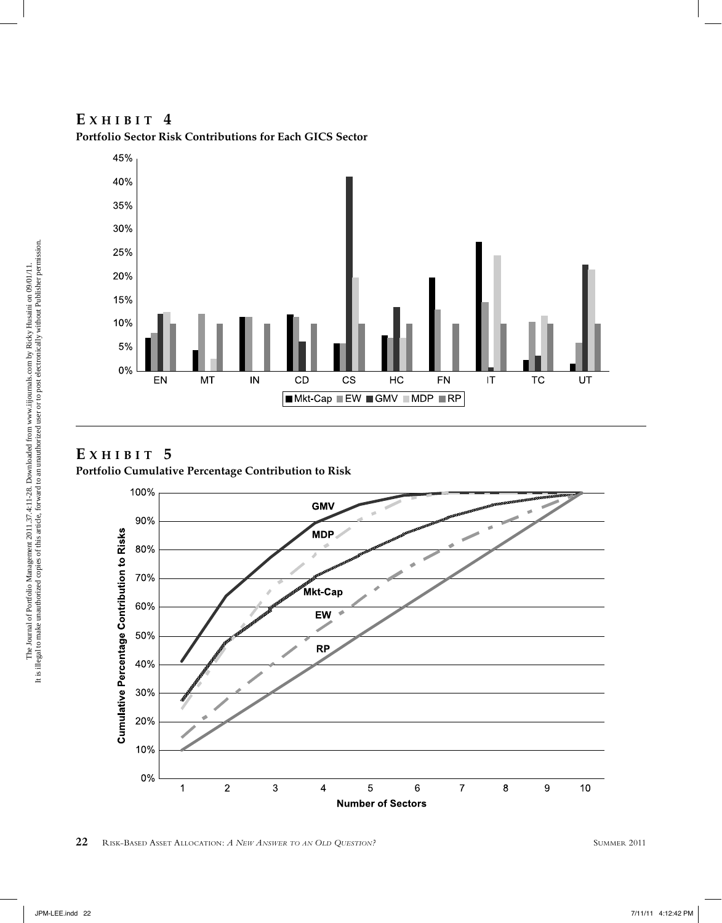**E XHIBIT 4 Portfolio Sector Risk Contributions for Each GICS Sector**



# **E XHIBIT 5 Portfolio Cumulative Percentage Contribution to Risk**

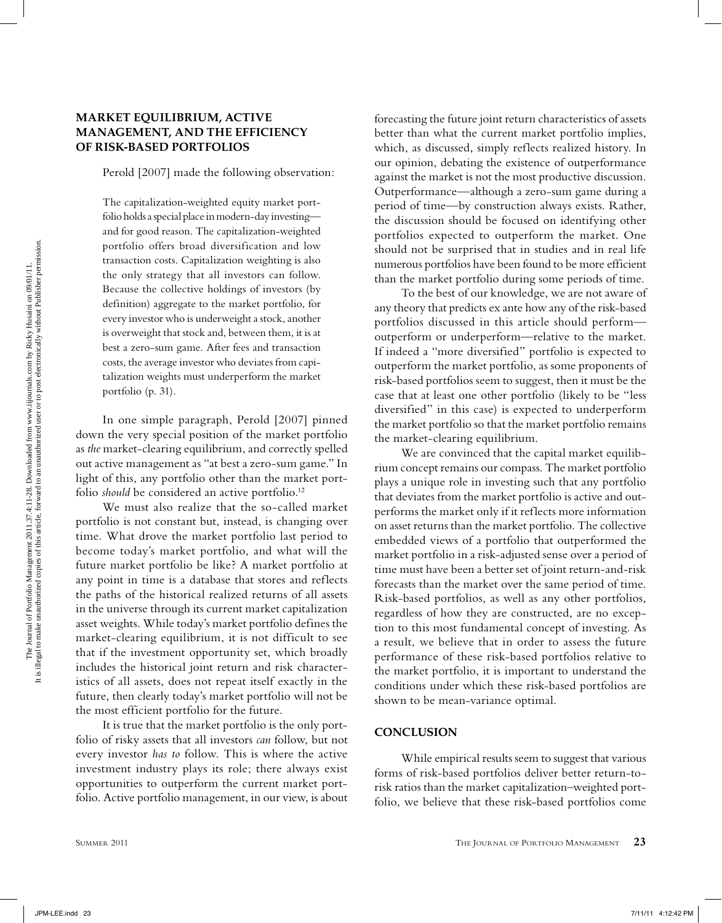# **MARKET EQUILIBRIUM, ACTIVE MANAGEMENT, AND THE EFFICIENCY OF RISK-BASED PORTFOLIOS**

Perold [2007] made the following observation:

The capitalization-weighted equity market portfolio holds a special place in modern-day investing and for good reason. The capitalization-weighted portfolio offers broad diversification and low transaction costs. Capitalization weighting is also the only strategy that all investors can follow. Because the collective holdings of investors (by definition) aggregate to the market portfolio, for every investor who is underweight a stock, another is overweight that stock and, between them, it is at best a zero-sum game. After fees and transaction costs, the average investor who deviates from capitalization weights must underperform the market portfolio (p. 31).

In one simple paragraph, Perold [2007] pinned down the very special position of the market portfolio as *the* market-clearing equilibrium, and correctly spelled out active management as "at best a zero-sum game." In light of this, any portfolio other than the market portfolio *should* be considered an active portfolio.<sup>12</sup>

We must also realize that the so-called market portfolio is not constant but, instead, is changing over time. What drove the market portfolio last period to become today's market portfolio, and what will the future market portfolio be like? A market portfolio at any point in time is a database that stores and reflects the paths of the historical realized returns of all assets in the universe through its current market capitalization asset weights. While today's market portfolio defines the market-clearing equilibrium, it is not difficult to see that if the investment opportunity set, which broadly includes the historical joint return and risk characteristics of all assets, does not repeat itself exactly in the future, then clearly today's market portfolio will not be the most efficient portfolio for the future.

It is true that the market portfolio is the only portfolio of risky assets that all investors *can* follow, but not every investor *has to* follow. This is where the active investment industry plays its role; there always exist opportunities to outperform the current market portfolio. Active portfolio management, in our view, is about forecasting the future joint return characteristics of assets better than what the current market portfolio implies, which, as discussed, simply reflects realized history. In our opinion, debating the existence of outperformance against the market is not the most productive discussion. Outperformance—although a zero-sum game during a period of time—by construction always exists. Rather, the discussion should be focused on identifying other portfolios expected to outperform the market. One should not be surprised that in studies and in real life numerous portfolios have been found to be more efficient than the market portfolio during some periods of time.

To the best of our knowledge, we are not aware of any theory that predicts ex ante how any of the risk-based portfolios discussed in this article should perform outperform or underperform—relative to the market. If indeed a "more diversified" portfolio is expected to outperform the market portfolio, as some proponents of risk-based portfolios seem to suggest, then it must be the case that at least one other portfolio (likely to be "less diversified" in this case) is expected to underperform the market portfolio so that the market portfolio remains the market-clearing equilibrium.

We are convinced that the capital market equilibrium concept remains our compass. The market portfolio plays a unique role in investing such that any portfolio that deviates from the market portfolio is active and outperforms the market only if it reflects more information on asset returns than the market portfolio. The collective embedded views of a portfolio that outperformed the market portfolio in a risk-adjusted sense over a period of time must have been a better set of joint return-and-risk forecasts than the market over the same period of time. Risk-based portfolios, as well as any other portfolios, regardless of how they are constructed, are no exception to this most fundamental concept of investing. As a result, we believe that in order to assess the future performance of these risk-based portfolios relative to the market portfolio, it is important to understand the conditions under which these risk-based portfolios are shown to be mean-variance optimal.

#### **CONCLUSION**

While empirical results seem to suggest that various forms of risk-based portfolios deliver better return-torisk ratios than the market capitalization–weighted portfolio, we believe that these risk-based portfolios come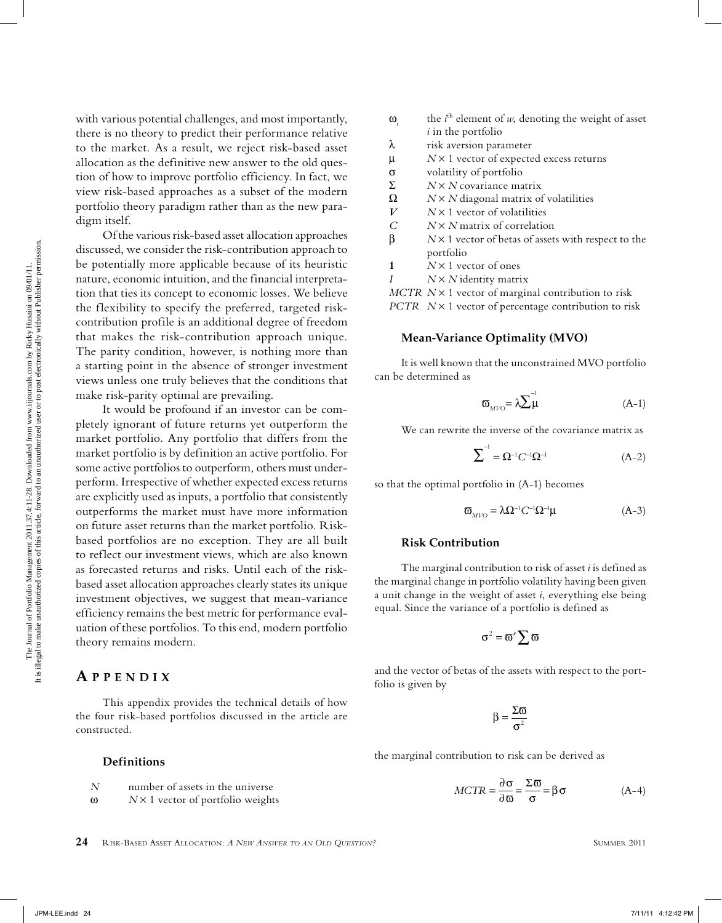The Journal of Portfolio Management 2011.37.4:11-28. Downloaded from www.iijournals.com by Ricky Husaini on 09/01/11.<br>It is illegal to make unauthorized copies of this article, forward to an unauthorized user or to post el It is illegal to make unauthorized copies of this article, forward to an unauthorized user or to post electronically without Publisher permission.The Journal of Portfolio Management 2011.37.4:11-28. Downloaded from www.iijournals.com by Ricky Husaini on 09/01/11.

with various potential challenges, and most importantly, there is no theory to predict their performance relative to the market. As a result, we reject risk-based asset allocation as the definitive new answer to the old question of how to improve portfolio efficiency. In fact, we view risk-based approaches as a subset of the modern portfolio theory paradigm rather than as the new paradigm itself.

Of the various risk-based asset allocation approaches discussed, we consider the risk-contribution approach to be potentially more applicable because of its heuristic nature, economic intuition, and the financial interpretation that ties its concept to economic losses. We believe the flexibility to specify the preferred, targeted riskcontribution profile is an additional degree of freedom that makes the risk-contribution approach unique. The parity condition, however, is nothing more than a starting point in the absence of stronger investment views unless one truly believes that the conditions that make risk-parity optimal are prevailing.

It would be profound if an investor can be completely ignorant of future returns yet outperform the market portfolio. Any portfolio that differs from the market portfolio is by definition an active portfolio. For some active portfolios to outperform, others must underperform. Irrespective of whether expected excess returns are explicitly used as inputs, a portfolio that consistently outperforms the market must have more information on future asset returns than the market portfolio. Riskbased portfolios are no exception. They are all built to reflect our investment views, which are also known as forecasted returns and risks. Until each of the riskbased asset allocation approaches clearly states its unique investment objectives, we suggest that mean-variance efficiency remains the best metric for performance evaluation of these portfolios. To this end, modern portfolio theory remains modern.

# **A PPENDIX**

This appendix provides the technical details of how the four risk-based portfolios discussed in the article are constructed.

#### **Definitions**

- *N* number of assets in the universe
- ω *N* × 1 vector of portfolio weights
- ω*i* the  $i^{\text{th}}$  element of  $w$ , denoting the weight of asset *i* in the portfolio
- λ risk aversion parameter
- μ *N* × 1 vector of expected excess returns
- σ volatility of portfolio<br>Σ  $N \times N$  covariance may
- $Σ$  *N* × *N* covariance matrix  $Ω$  *N* × *N* diagonal matrix of
- $Ω$  *N* × *N* diagonal matrix of volatilities<br>*V*  $N \times 1$  vector of volatilities
- $V$  *N*  $\times$  1 vector of volatilities<br>*C*  $N \times N$  matrix of correlation
- *C*  $N \times N$  matrix of correlation<br>**B**  $N \times 1$  vector of betas of asset
- β *N* × 1 vector of betas of assets with respect to the portfolio
- **1**  $N \times 1$  vector of ones<br> $N \times N$  identity matri
- *I N* × *N* identity matrix

*MCTR N* × 1 vector of marginal contribution to risk *PCTR N* × 1 vector of percentage contribution to risk

#### **Mean-Variance Optimality (MVO)**

It is well known that the unconstrained MVO portfolio can be determined as

$$
\varpi_{\scriptscriptstyle MVO} = \lambda \sum_{\mu}^{-1} \mu \tag{A-1}
$$

We can rewrite the inverse of the covariance matrix as

$$
\sum^{-1} = \Omega^{-1} C^{-1} \Omega^{-1}
$$
 (A-2)

so that the optimal portfolio in (A-1) becomes

$$
\mathbf{\overline{w}}_{\scriptscriptstyle MVO} = \lambda \Omega^{-1} C^{-1} \Omega^{-1} \mu \tag{A-3}
$$

#### **Risk Contribution**

The marginal contribution to risk of asset *i* is defined as the marginal change in portfolio volatility having been given a unit change in the weight of asset *i*, everything else being equal. Since the variance of a portfolio is defined as

$$
\sigma^2 = \varpi' \sum \varpi
$$

and the vector of betas of the assets with respect to the portfolio is given by

$$
\beta = \frac{\Sigma \varpi}{\sigma^2}
$$

the marginal contribution to risk can be derived as

$$
MCTR = \frac{\partial \sigma}{\partial \varpi} = \frac{\Sigma \varpi}{\sigma} = \beta \sigma \tag{A-4}
$$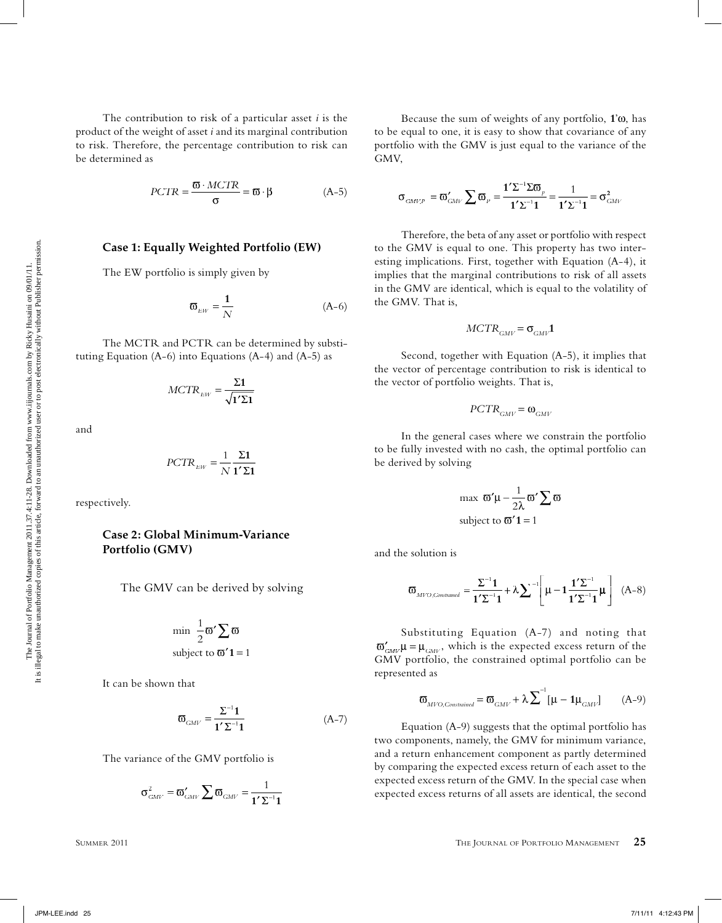The contribution to risk of a particular asset *i* is the product of the weight of asset *i* and its marginal contribution to risk. Therefore, the percentage contribution to risk can be determined as

$$
PCTR = \frac{\varpi \cdot MCTR}{\sigma} = \varpi \cdot \beta \tag{A-5}
$$

#### **Case 1: Equally Weighted Portfolio (EW)**

The EW portfolio is simply given by

$$
\overline{\omega}_{EW} = \frac{1}{N} \tag{A-6}
$$

The MCTR and PCTR can be determined by substituting Equation  $(A-6)$  into Equations  $(A-4)$  and  $(A-5)$  as

$$
MCTR_{EW} = \frac{\Sigma 1}{\sqrt{1'\Sigma 1}}
$$

and

$$
PCTR_{EW} = \frac{1}{N} \frac{\Sigma 1}{1' \Sigma 1}
$$

respectively.

#### **Case 2: Global Minimum-Variance Portfolio (GMV)**

The GMV can be derived by solving

$$
\min \frac{1}{2} \boldsymbol{\omega}' \sum \boldsymbol{\omega}
$$
  
subject to  $\boldsymbol{\omega}' \mathbf{1} = 1$ 

It can be shown that

$$
\mathbf{\overline{w}}_{\text{GMV}} = \frac{\Sigma^{-1} \mathbf{1}}{\mathbf{1}' \Sigma^{-1} \mathbf{1}} \tag{A-7}
$$

The variance of the GMV portfolio is

$$
\sigma_{\text{CAIV}}^2 = \overline{\omega}_{\text{CAIV}}' \sum \overline{\omega}_{\text{CAIV}} = \frac{1}{1' \sum^{-1} 1}
$$

Because the sum of weights of any portfolio, **1**'ω, has to be equal to one, it is easy to show that covariance of any portfolio with the GMV is just equal to the variance of the GMV,

$$
\sigma_{\text{CMV,P}} = \overline{\omega}_{\text{CMV}}' \sum \overline{\omega}_p = \frac{\mathbf{1}' \Sigma^{-1} \Sigma \overline{\omega}_p}{\mathbf{1}' \Sigma^{-1} \mathbf{1}} = \frac{1}{\mathbf{1}' \Sigma^{-1} \mathbf{1}} = \sigma_{\text{GMV}}^2
$$

Therefore, the beta of any asset or portfolio with respect to the GMV is equal to one. This property has two interesting implications. First, together with Equation (A-4), it implies that the marginal contributions to risk of all assets in the GMV are identical, which is equal to the volatility of the GMV. That is,

$$
MCTR_{_{GMV}} = \sigma_{_{GMV}} \mathbf{1}
$$

Second, together with Equation (A-5), it implies that the vector of percentage contribution to risk is identical to the vector of portfolio weights. That is,

$$
PCTR_{GMV} = \omega_{GMV}
$$

In the general cases where we constrain the portfolio to be fully invested with no cash, the optimal portfolio can be derived by solving

$$
\max \ \overline{\omega}' \mu - \frac{1}{2\lambda} \overline{\omega}' \sum \overline{\omega}
$$
\n
$$
\text{subject to } \overline{\omega}' \mathbf{1} = 1
$$

and the solution is

$$
\boldsymbol{\varpi}_{\text{MVO},\text{Constrained}} = \frac{\Sigma^{-1} \mathbf{1}}{\mathbf{1}^{\prime} \Sigma^{-1} \mathbf{1}} + \lambda \sum \left[ \mu - \mathbf{1} \frac{\mathbf{1}^{\prime} \Sigma^{-1}}{\mathbf{1}^{\prime} \Sigma^{-1} \mathbf{1}} \mu \right] \quad (A-8)
$$

Substituting Equation (A-7) and noting that  $\sigma'_{GMV} \mu = \mu_{GMV}$ , which is the expected excess return of the GMV portfolio, the constrained optimal portfolio can be represented as

$$
\boldsymbol{\varpi}_{\text{MVO},\text{Constrained}} = \boldsymbol{\varpi}_{\text{GMV}} + \lambda \sum\nolimits_{i} \left[ \mu - 1\mu_{\text{GMV}} \right] \tag{A-9}
$$

Equation (A-9) suggests that the optimal portfolio has two components, namely, the GMV for minimum variance, and a return enhancement component as partly determined by comparing the expected excess return of each asset to the expected excess return of the GMV. In the special case when expected excess returns of all assets are identical, the second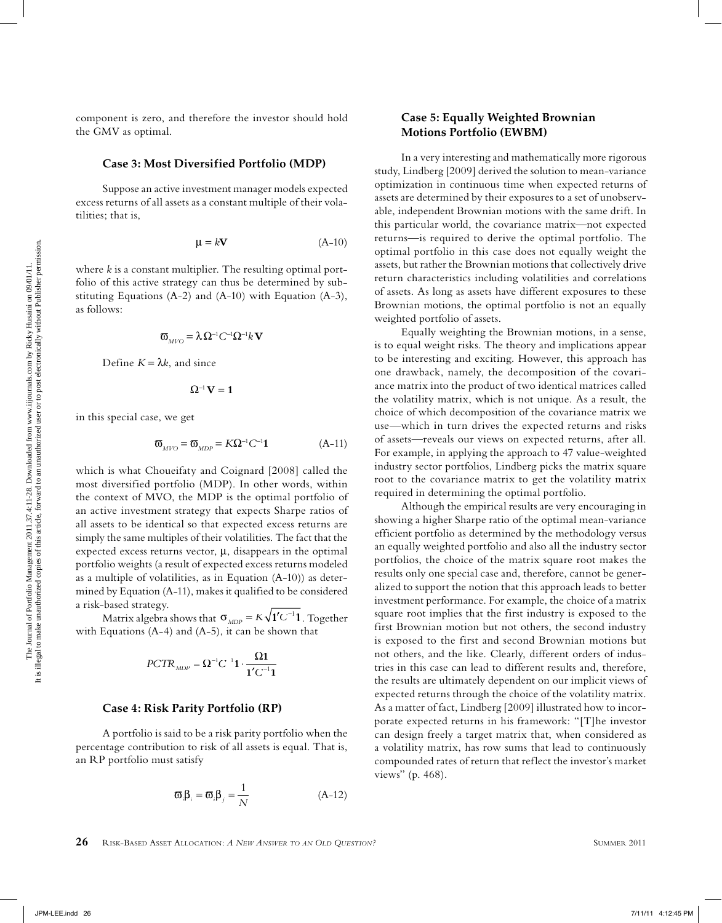component is zero, and therefore the investor should hold the GMV as optimal.

#### **Case 3: Most Diversified Portfolio (MDP)**

Suppose an active investment manager models expected excess returns of all assets as a constant multiple of their volatilities; that is,

$$
\mu = kV \tag{A-10}
$$

where *k* is a constant multiplier. The resulting optimal portfolio of this active strategy can thus be determined by substituting Equations (A-2) and (A-10) with Equation (A-3), as follows:

$$
\boldsymbol{\overline{\omega}}_{\mathit{MVO}} = \lambda \, \Omega^{-1} C^{-1} \Omega^{-1} k \, \mathbf{V}
$$

Define  $K = \lambda k$ , and since

$$
\Omega^{-1}\mathbf{V}=\mathbf{1}
$$

in this special case, we get

$$
\mathbf{\overline{w}}_{\text{MVO}} = \mathbf{\overline{w}}_{\text{MDP}} = K\Omega^{-1}C^{-1}\mathbf{1}
$$
 (A-11)

which is what Choueifaty and Coignard [2008] called the most diversified portfolio (MDP). In other words, within the context of MVO, the MDP is the optimal portfolio of an active investment strategy that expects Sharpe ratios of all assets to be identical so that expected excess returns are simply the same multiples of their volatilities. The fact that the expected excess returns vector,  $\mu$ , disappears in the optimal portfolio weights (a result of expected excess returns modeled as a multiple of volatilities, as in Equation (A-10)) as determined by Equation (A-11), makes it qualified to be considered a risk-based strategy.

Matrix algebra shows that  $\sigma_{MDP} = K \sqrt{\mathbf{1}' C^{-1} \mathbf{1}}$ . Together with Equations (A-4) and (A-5), it can be shown that

$$
PCTR_{MDP} = \Omega^{-1} C^{-1} \mathbf{1} \cdot \frac{\Omega \mathbf{1}}{\mathbf{1}' C^{-1} \mathbf{1}}
$$

#### **Case 4: Risk Parity Portfolio (RP)**

A portfolio is said to be a risk parity portfolio when the percentage contribution to risk of all assets is equal. That is, an RP portfolio must satisfy

$$
\boldsymbol{\overline{\omega}}_i \boldsymbol{\beta}_i = \boldsymbol{\overline{\omega}}_i \boldsymbol{\beta}_j = \frac{1}{N}
$$
 (A-12)

#### **Case 5: Equally Weighted Brownian Motions Portfolio (EWBM)**

In a very interesting and mathematically more rigorous study, Lindberg [2009] derived the solution to mean-variance optimization in continuous time when expected returns of assets are determined by their exposures to a set of unobservable, independent Brownian motions with the same drift. In this particular world, the covariance matrix—not expected returns—is required to derive the optimal portfolio. The optimal portfolio in this case does not equally weight the assets, but rather the Brownian motions that collectively drive return characteristics including volatilities and correlations of assets. As long as assets have different exposures to these Brownian motions, the optimal portfolio is not an equally weighted portfolio of assets.

Equally weighting the Brownian motions, in a sense, is to equal weight risks. The theory and implications appear to be interesting and exciting. However, this approach has one drawback, namely, the decomposition of the covariance matrix into the product of two identical matrices called the volatility matrix, which is not unique. As a result, the choice of which decomposition of the covariance matrix we use—which in turn drives the expected returns and risks of assets—reveals our views on expected returns, after all. For example, in applying the approach to 47 value-weighted industry sector portfolios, Lindberg picks the matrix square root to the covariance matrix to get the volatility matrix required in determining the optimal portfolio.

Although the empirical results are very encouraging in showing a higher Sharpe ratio of the optimal mean-variance efficient portfolio as determined by the methodology versus an equally weighted portfolio and also all the industry sector portfolios, the choice of the matrix square root makes the results only one special case and, therefore, cannot be generalized to support the notion that this approach leads to better investment performance. For example, the choice of a matrix square root implies that the first industry is exposed to the first Brownian motion but not others, the second industry is exposed to the first and second Brownian motions but not others, and the like. Clearly, different orders of industries in this case can lead to different results and, therefore, the results are ultimately dependent on our implicit views of expected returns through the choice of the volatility matrix. As a matter of fact, Lindberg [2009] illustrated how to incorporate expected returns in his framework: "[T]he investor can design freely a target matrix that, when considered as a volatility matrix, has row sums that lead to continuously compounded rates of return that reflect the investor's market views" (p. 468).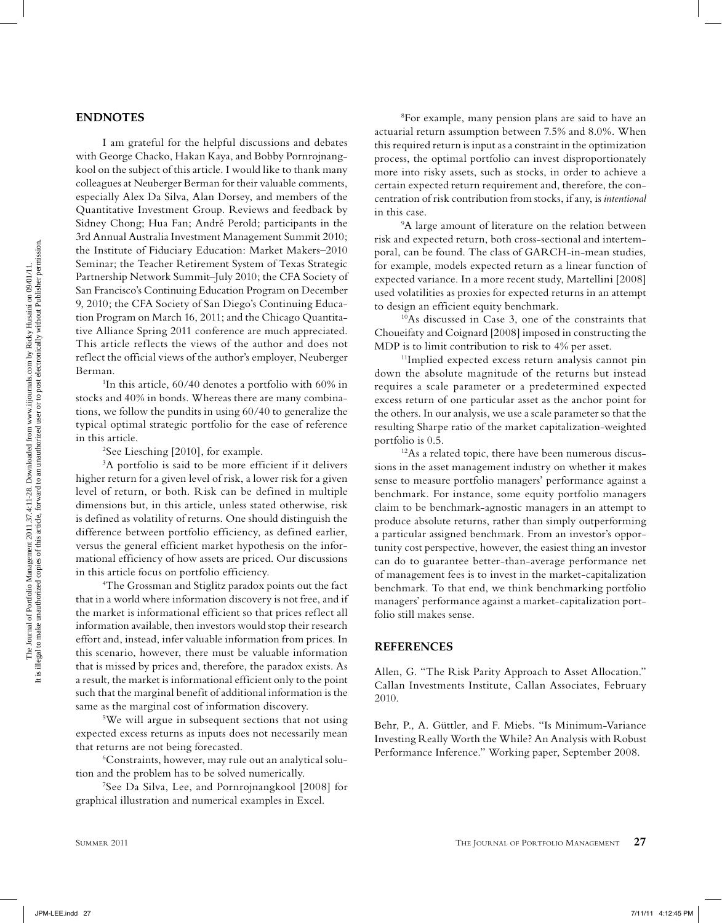#### **ENDNOTES**

I am grateful for the helpful discussions and debates with George Chacko, Hakan Kaya, and Bobby Pornrojnangkool on the subject of this article. I would like to thank many colleagues at Neuberger Berman for their valuable comments, especially Alex Da Silva, Alan Dorsey, and members of the Quantitative Investment Group. Reviews and feedback by Sidney Chong; Hua Fan; André Perold; participants in the 3rd Annual Australia Investment Management Summit 2010; the Institute of Fiduciary Education: Market Makers–2010 Seminar; the Teacher Retirement System of Texas Strategic Partnership Network Summit–July 2010; the CFA Society of San Francisco's Continuing Education Program on December 9, 2010; the CFA Society of San Diego's Continuing Education Program on March 16, 2011; and the Chicago Quantitative Alliance Spring 2011 conference are much appreciated. This article reflects the views of the author and does not reflect the official views of the author's employer, Neuberger Berman.

1 In this article, 60/40 denotes a portfolio with 60% in stocks and 40% in bonds. Whereas there are many combinations, we follow the pundits in using 60/40 to generalize the typical optimal strategic portfolio for the ease of reference in this article.

2 See Liesching [2010], for example.

3 A portfolio is said to be more efficient if it delivers higher return for a given level of risk, a lower risk for a given level of return, or both. Risk can be defined in multiple dimensions but, in this article, unless stated otherwise, risk is defined as volatility of returns. One should distinguish the difference between portfolio efficiency, as defined earlier, versus the general efficient market hypothesis on the informational efficiency of how assets are priced. Our discussions in this article focus on portfolio efficiency.

4 The Grossman and Stiglitz paradox points out the fact that in a world where information discovery is not free, and if the market is informational efficient so that prices reflect all information available, then investors would stop their research effort and, instead, infer valuable information from prices. In this scenario, however, there must be valuable information that is missed by prices and, therefore, the paradox exists. As a result, the market is informational efficient only to the point such that the marginal benefit of additional information is the same as the marginal cost of information discovery.

5 We will argue in subsequent sections that not using expected excess returns as inputs does not necessarily mean that returns are not being forecasted.

6 Constraints, however, may rule out an analytical solution and the problem has to be solved numerically.

7 See Da Silva, Lee, and Pornrojnangkool [2008] for graphical illustration and numerical examples in Excel.

8 For example, many pension plans are said to have an actuarial return assumption between 7.5% and 8.0%. When this required return is input as a constraint in the optimization process, the optimal portfolio can invest disproportionately more into risky assets, such as stocks, in order to achieve a certain expected return requirement and, therefore, the concentration of risk contribution from stocks, if any, is *intentional* in this case.

9 A large amount of literature on the relation between risk and expected return, both cross-sectional and intertemporal, can be found. The class of GARCH-in-mean studies, for example, models expected return as a linear function of expected variance. In a more recent study, Martellini [2008] used volatilities as proxies for expected returns in an attempt to design an efficient equity benchmark.

10As discussed in Case 3, one of the constraints that Choueifaty and Coignard [2008] imposed in constructing the MDP is to limit contribution to risk to 4% per asset.

11Implied expected excess return analysis cannot pin down the absolute magnitude of the returns but instead requires a scale parameter or a predetermined expected excess return of one particular asset as the anchor point for the others. In our analysis, we use a scale parameter so that the resulting Sharpe ratio of the market capitalization-weighted portfolio is 0.5.

12As a related topic, there have been numerous discussions in the asset management industry on whether it makes sense to measure portfolio managers' performance against a benchmark. For instance, some equity portfolio managers claim to be benchmark-agnostic managers in an attempt to produce absolute returns, rather than simply outperforming a particular assigned benchmark. From an investor's opportunity cost perspective, however, the easiest thing an investor can do to guarantee better-than-average performance net of management fees is to invest in the market-capitalization benchmark. To that end, we think benchmarking portfolio managers' performance against a market-capitalization portfolio still makes sense.

#### **REFERENCES**

Allen, G. "The Risk Parity Approach to Asset Allocation." Callan Investments Institute, Callan Associates, February 2010.

Behr, P., A. Güttler, and F. Miebs. "Is Minimum-Variance Investing Really Worth the While? An Analysis with Robust Performance Inference." Working paper, September 2008.